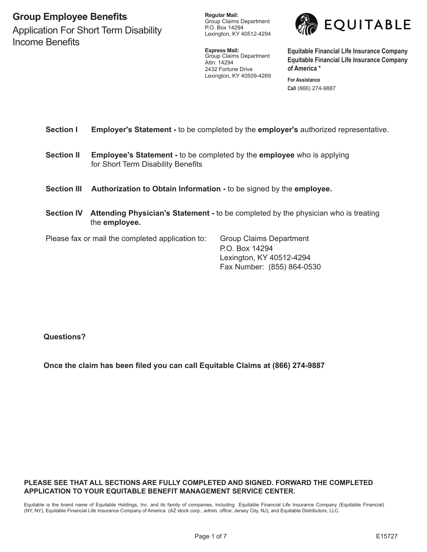# **Group Employee Benefits**

Application For Short Term Disability Income Benefits

**Regular Mail:** Group Claims Department P.O. Box 14294 Lexington, KY 40512-4294

**Express Mail:** Group Claims Department Attn: 14294 2432 Fortune Drive Lexington, KY 40509-4269 **For Assistance**



**Equitable Financial Life Insurance Company Equitable Financial Life Insurance Company of America \***

**Call** (866) 274-9887

## **Section I Employer's Statement -** to be completed by the **employer's** authorized representative.

- **Section II Employee's Statement -** to be completed by the **employee** who is applying for Short Term Disability Benefits
- **Section III Authorization to Obtain Information** to be signed by the **employee.**
- **Section IV** Attending Physician's Statement to be completed by the physician who is treating the **employee.**

Please fax or mail the completed application to: Group Claims Department

P.O. Box 14294 Lexington, KY 40512-4294 Fax Number: (855) 864-0530

**Questions?**

**Once the claim has been filed you can call Equitable Claims at (866) 274-9887**

#### **PLEASE SEE THAT ALL SECTIONS ARE FULLY COMPLETED AND SIGNED. FORWARD THE COMPLETED APPLICATION TO YOUR Equitable BENEFIT MANAGEMENT SERVICE CENTER.**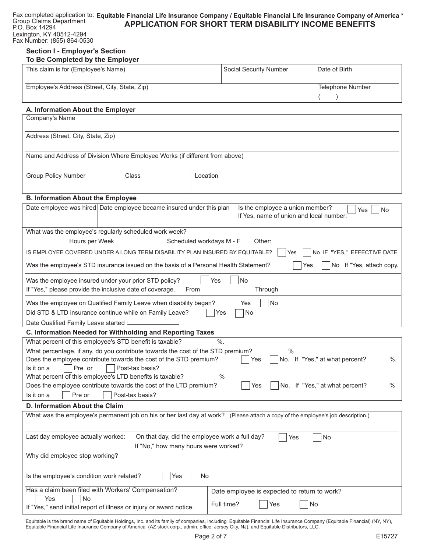| Group Claims Department                                | Fax completed application to: Equitable Financial Life Insurance Company / Equitable Financial Life Insurance Company of America * |
|--------------------------------------------------------|------------------------------------------------------------------------------------------------------------------------------------|
| P.O. Box 14294                                         | <b>APPLICATION FOR SHORT TERM DISABILITY INCOME BENEFITS</b>                                                                       |
| Lexington, KY 40512-4294<br>Fax Number: (855) 864-0530 |                                                                                                                                    |

### **Section I - Employer's Section To Be Completed by the Employer**

| This claim is for (Employee's Name)           | Social Security Number | Date of Birth    |
|-----------------------------------------------|------------------------|------------------|
| Employee's Address (Street, City, State, Zip) |                        | Telephone Number |
|                                               |                        |                  |

## **A. Information About the Employer**

| A. Information About the Employer<br>Company's Name                                                                             |                                    |                 |                          |                                                     |  |  |  |
|---------------------------------------------------------------------------------------------------------------------------------|------------------------------------|-----------------|--------------------------|-----------------------------------------------------|--|--|--|
|                                                                                                                                 |                                    |                 |                          |                                                     |  |  |  |
|                                                                                                                                 | Address (Street, City, State, Zip) |                 |                          |                                                     |  |  |  |
|                                                                                                                                 |                                    |                 |                          |                                                     |  |  |  |
| Name and Address of Division Where Employee Works (if different from above)                                                     |                                    |                 |                          |                                                     |  |  |  |
|                                                                                                                                 |                                    |                 |                          |                                                     |  |  |  |
| <b>Group Policy Number</b>                                                                                                      |                                    | Class           | Location                 |                                                     |  |  |  |
|                                                                                                                                 |                                    |                 |                          |                                                     |  |  |  |
| <b>B. Information About the Employee</b>                                                                                        |                                    |                 |                          |                                                     |  |  |  |
| Date employee was hired   Date employee became insured under this plan                                                          |                                    |                 |                          | Is the employee a union member?<br>Yes<br><b>No</b> |  |  |  |
|                                                                                                                                 |                                    |                 |                          | If Yes, name of union and local number:             |  |  |  |
| What was the employee's regularly scheduled work week?                                                                          |                                    |                 |                          |                                                     |  |  |  |
| Hours per Week                                                                                                                  |                                    |                 | Scheduled workdays M - F | Other:                                              |  |  |  |
| IS EMPLOYEE COVERED UNDER A LONG TERM DISABILITY PLAN INSURED BY EQUITABLE?                                                     |                                    |                 |                          | No IF "YES," EFFECTIVE DATE<br>Yes                  |  |  |  |
| Was the employee's STD insurance issued on the basis of a Personal Health Statement?                                            |                                    |                 |                          | No If "Yes, attach copy.<br>Yes                     |  |  |  |
| Was the employee insured under your prior STD policy?                                                                           |                                    |                 | Yes                      | No                                                  |  |  |  |
| If "Yes," please provide the inclusive date of coverage.                                                                        |                                    |                 | From                     | Through                                             |  |  |  |
| Was the employee on Qualified Family Leave when disability began?                                                               |                                    |                 |                          | No<br>Yes                                           |  |  |  |
| Did STD & LTD insurance continue while on Family Leave?                                                                         |                                    |                 | Yes                      | No                                                  |  |  |  |
| Date Qualified Family Leave started :-                                                                                          |                                    |                 |                          |                                                     |  |  |  |
| C. Information Needed for Withholding and Reporting Taxes                                                                       |                                    |                 |                          |                                                     |  |  |  |
| What percent of this employee's STD benefit is taxable?                                                                         |                                    |                 | %                        |                                                     |  |  |  |
| What percentage, if any, do you contribute towards the cost of the STD premium?                                                 |                                    |                 |                          | $\frac{0}{0}$                                       |  |  |  |
| Does the employee contribute towards the cost of the STD premium?                                                               |                                    |                 |                          | No. If "Yes," at what percent?<br>$\%$ .<br>Yes     |  |  |  |
| Pre or<br>Is it on a<br>What percent of this employee's LTD benefits is taxable?                                                |                                    | Post-tax basis? | $\%$                     |                                                     |  |  |  |
|                                                                                                                                 |                                    |                 |                          | No. If "Yes," at what percent?<br>$\%$<br>Yes       |  |  |  |
| Does the employee contribute towards the cost of the LTD premium?<br>Is it on a<br>Pre or<br>Post-tax basis?                    |                                    |                 |                          |                                                     |  |  |  |
| D. Information About the Claim                                                                                                  |                                    |                 |                          |                                                     |  |  |  |
| What was the employee's permanent job on his or her last day at work? (Please attach a copy of the employee's job description.) |                                    |                 |                          |                                                     |  |  |  |
|                                                                                                                                 |                                    |                 |                          |                                                     |  |  |  |
| Last day employee actually worked:<br>On that day, did the employee work a full day?<br>No<br>Yes                               |                                    |                 |                          |                                                     |  |  |  |
| If "No," how many hours were worked?                                                                                            |                                    |                 |                          |                                                     |  |  |  |
| Why did employee stop working?                                                                                                  |                                    |                 |                          |                                                     |  |  |  |
| No<br>Is the employee's condition work related?<br>Yes                                                                          |                                    |                 |                          |                                                     |  |  |  |
|                                                                                                                                 |                                    |                 |                          |                                                     |  |  |  |
| Has a claim been filed with Workers' Compensation?                                                                              |                                    |                 |                          | Date employee is expected to return to work?        |  |  |  |
| No<br>Yes<br>Full time?<br>No<br>Yes<br>If "Yes," send initial report of illness or injury or award notice.                     |                                    |                 |                          |                                                     |  |  |  |
|                                                                                                                                 |                                    |                 |                          |                                                     |  |  |  |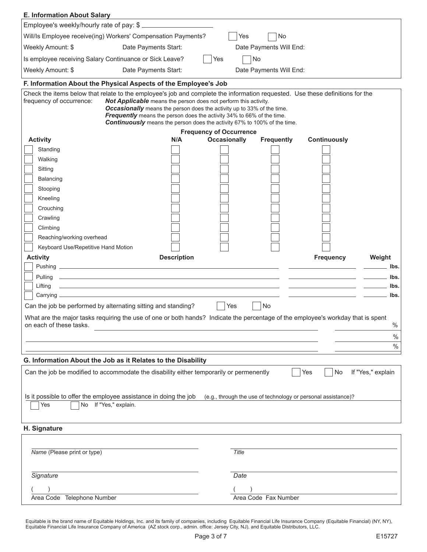| Employee's weekly/hourly rate of pay: \$<br>Will/Is Employee receive(ing) Workers' Compensation Payments?<br>Yes<br>No<br>Date Payments Start:<br>Date Payments Will End:<br>Is employee receiving Salary Continuance or Sick Leave?<br>No<br>Yes<br>Date Payments Start:<br>Date Payments Will End:<br>F. Information About the Physical Aspects of the Employee's Job<br>Check the items below that relate to the employee's job and complete the information requested. Use these definitions for the<br>Not Applicable means the person does not perform this activity.<br><b>Occasionally</b> means the person does the activity up to 33% of the time.<br><b>Frequently</b> means the person does the activity 34% to 66% of the time.<br>Continuously means the person does the activity 67% to 100% of the time.<br><b>Frequency of Occurrence</b><br><b>Occasionally</b><br><b>Frequently</b><br>Continuously<br><b>Activity</b><br>N/A<br>Standing<br>Walking<br>Sitting<br>Balancing<br>Stooping<br>Kneeling<br>Crouching<br>Crawling<br>Climbing<br>Reaching/working overhead<br>Keyboard Use/Repetitive Hand Motion<br><b>Description</b><br><b>Frequency</b><br><b>Activity</b><br>Weight<br>lbs.<br><u> 1989 - Johann Stoff, amerikansk politiker (d. 1989)</u><br>Pulling<br>lbs.<br><u> 1989 - Johann Stoff, amerikansk politiker (* 1908)</u><br>Lifting<br>lbs.<br>lbs.<br>Can the job be performed by alternating sitting and standing?<br>No<br>Yes<br>What are the major tasks requiring the use of one or both hands? Indicate the percentage of the employee's workday that is spent<br>on each of these tasks.<br>$\%$<br>$\%$<br>$\%$<br>G. Information About the Job as it Relates to the Disability<br>If "Yes," explain<br>Can the job be modified to accommodate the disability either temporarily or permenently<br>Yes<br>No<br>Is it possible to offer the employee assistance in doing the job<br>(e.g., through the use of technology or personal assistance)?<br>No If "Yes," explain.<br>Yes<br>Name (Please print or type)<br>Title | <b>E. Information About Salary</b> | <u> 1989 - Johann Barn, mars ann an t-Amhain Aonaich an t-Aonaich an t-Aonaich ann an t-Aonaich ann an t-Aonaich</u> |      |  |  |
|---------------------------------------------------------------------------------------------------------------------------------------------------------------------------------------------------------------------------------------------------------------------------------------------------------------------------------------------------------------------------------------------------------------------------------------------------------------------------------------------------------------------------------------------------------------------------------------------------------------------------------------------------------------------------------------------------------------------------------------------------------------------------------------------------------------------------------------------------------------------------------------------------------------------------------------------------------------------------------------------------------------------------------------------------------------------------------------------------------------------------------------------------------------------------------------------------------------------------------------------------------------------------------------------------------------------------------------------------------------------------------------------------------------------------------------------------------------------------------------------------------------------------------------------------------------------------------------------------------------------------------------------------------------------------------------------------------------------------------------------------------------------------------------------------------------------------------------------------------------------------------------------------------------------------------------------------------------------------------------------------------------------------------------------------------------------------|------------------------------------|----------------------------------------------------------------------------------------------------------------------|------|--|--|
|                                                                                                                                                                                                                                                                                                                                                                                                                                                                                                                                                                                                                                                                                                                                                                                                                                                                                                                                                                                                                                                                                                                                                                                                                                                                                                                                                                                                                                                                                                                                                                                                                                                                                                                                                                                                                                                                                                                                                                                                                                                                           |                                    |                                                                                                                      |      |  |  |
|                                                                                                                                                                                                                                                                                                                                                                                                                                                                                                                                                                                                                                                                                                                                                                                                                                                                                                                                                                                                                                                                                                                                                                                                                                                                                                                                                                                                                                                                                                                                                                                                                                                                                                                                                                                                                                                                                                                                                                                                                                                                           |                                    |                                                                                                                      |      |  |  |
|                                                                                                                                                                                                                                                                                                                                                                                                                                                                                                                                                                                                                                                                                                                                                                                                                                                                                                                                                                                                                                                                                                                                                                                                                                                                                                                                                                                                                                                                                                                                                                                                                                                                                                                                                                                                                                                                                                                                                                                                                                                                           | Weekly Amount: \$                  |                                                                                                                      |      |  |  |
|                                                                                                                                                                                                                                                                                                                                                                                                                                                                                                                                                                                                                                                                                                                                                                                                                                                                                                                                                                                                                                                                                                                                                                                                                                                                                                                                                                                                                                                                                                                                                                                                                                                                                                                                                                                                                                                                                                                                                                                                                                                                           |                                    |                                                                                                                      |      |  |  |
|                                                                                                                                                                                                                                                                                                                                                                                                                                                                                                                                                                                                                                                                                                                                                                                                                                                                                                                                                                                                                                                                                                                                                                                                                                                                                                                                                                                                                                                                                                                                                                                                                                                                                                                                                                                                                                                                                                                                                                                                                                                                           | Weekly Amount: \$                  |                                                                                                                      |      |  |  |
|                                                                                                                                                                                                                                                                                                                                                                                                                                                                                                                                                                                                                                                                                                                                                                                                                                                                                                                                                                                                                                                                                                                                                                                                                                                                                                                                                                                                                                                                                                                                                                                                                                                                                                                                                                                                                                                                                                                                                                                                                                                                           |                                    |                                                                                                                      |      |  |  |
|                                                                                                                                                                                                                                                                                                                                                                                                                                                                                                                                                                                                                                                                                                                                                                                                                                                                                                                                                                                                                                                                                                                                                                                                                                                                                                                                                                                                                                                                                                                                                                                                                                                                                                                                                                                                                                                                                                                                                                                                                                                                           | frequency of occurrence:           |                                                                                                                      |      |  |  |
|                                                                                                                                                                                                                                                                                                                                                                                                                                                                                                                                                                                                                                                                                                                                                                                                                                                                                                                                                                                                                                                                                                                                                                                                                                                                                                                                                                                                                                                                                                                                                                                                                                                                                                                                                                                                                                                                                                                                                                                                                                                                           |                                    |                                                                                                                      |      |  |  |
|                                                                                                                                                                                                                                                                                                                                                                                                                                                                                                                                                                                                                                                                                                                                                                                                                                                                                                                                                                                                                                                                                                                                                                                                                                                                                                                                                                                                                                                                                                                                                                                                                                                                                                                                                                                                                                                                                                                                                                                                                                                                           |                                    |                                                                                                                      |      |  |  |
|                                                                                                                                                                                                                                                                                                                                                                                                                                                                                                                                                                                                                                                                                                                                                                                                                                                                                                                                                                                                                                                                                                                                                                                                                                                                                                                                                                                                                                                                                                                                                                                                                                                                                                                                                                                                                                                                                                                                                                                                                                                                           |                                    |                                                                                                                      |      |  |  |
|                                                                                                                                                                                                                                                                                                                                                                                                                                                                                                                                                                                                                                                                                                                                                                                                                                                                                                                                                                                                                                                                                                                                                                                                                                                                                                                                                                                                                                                                                                                                                                                                                                                                                                                                                                                                                                                                                                                                                                                                                                                                           |                                    |                                                                                                                      |      |  |  |
|                                                                                                                                                                                                                                                                                                                                                                                                                                                                                                                                                                                                                                                                                                                                                                                                                                                                                                                                                                                                                                                                                                                                                                                                                                                                                                                                                                                                                                                                                                                                                                                                                                                                                                                                                                                                                                                                                                                                                                                                                                                                           |                                    |                                                                                                                      |      |  |  |
|                                                                                                                                                                                                                                                                                                                                                                                                                                                                                                                                                                                                                                                                                                                                                                                                                                                                                                                                                                                                                                                                                                                                                                                                                                                                                                                                                                                                                                                                                                                                                                                                                                                                                                                                                                                                                                                                                                                                                                                                                                                                           |                                    |                                                                                                                      |      |  |  |
|                                                                                                                                                                                                                                                                                                                                                                                                                                                                                                                                                                                                                                                                                                                                                                                                                                                                                                                                                                                                                                                                                                                                                                                                                                                                                                                                                                                                                                                                                                                                                                                                                                                                                                                                                                                                                                                                                                                                                                                                                                                                           |                                    |                                                                                                                      |      |  |  |
|                                                                                                                                                                                                                                                                                                                                                                                                                                                                                                                                                                                                                                                                                                                                                                                                                                                                                                                                                                                                                                                                                                                                                                                                                                                                                                                                                                                                                                                                                                                                                                                                                                                                                                                                                                                                                                                                                                                                                                                                                                                                           |                                    |                                                                                                                      |      |  |  |
|                                                                                                                                                                                                                                                                                                                                                                                                                                                                                                                                                                                                                                                                                                                                                                                                                                                                                                                                                                                                                                                                                                                                                                                                                                                                                                                                                                                                                                                                                                                                                                                                                                                                                                                                                                                                                                                                                                                                                                                                                                                                           |                                    |                                                                                                                      |      |  |  |
|                                                                                                                                                                                                                                                                                                                                                                                                                                                                                                                                                                                                                                                                                                                                                                                                                                                                                                                                                                                                                                                                                                                                                                                                                                                                                                                                                                                                                                                                                                                                                                                                                                                                                                                                                                                                                                                                                                                                                                                                                                                                           |                                    |                                                                                                                      |      |  |  |
|                                                                                                                                                                                                                                                                                                                                                                                                                                                                                                                                                                                                                                                                                                                                                                                                                                                                                                                                                                                                                                                                                                                                                                                                                                                                                                                                                                                                                                                                                                                                                                                                                                                                                                                                                                                                                                                                                                                                                                                                                                                                           |                                    |                                                                                                                      |      |  |  |
|                                                                                                                                                                                                                                                                                                                                                                                                                                                                                                                                                                                                                                                                                                                                                                                                                                                                                                                                                                                                                                                                                                                                                                                                                                                                                                                                                                                                                                                                                                                                                                                                                                                                                                                                                                                                                                                                                                                                                                                                                                                                           |                                    |                                                                                                                      |      |  |  |
|                                                                                                                                                                                                                                                                                                                                                                                                                                                                                                                                                                                                                                                                                                                                                                                                                                                                                                                                                                                                                                                                                                                                                                                                                                                                                                                                                                                                                                                                                                                                                                                                                                                                                                                                                                                                                                                                                                                                                                                                                                                                           |                                    |                                                                                                                      |      |  |  |
|                                                                                                                                                                                                                                                                                                                                                                                                                                                                                                                                                                                                                                                                                                                                                                                                                                                                                                                                                                                                                                                                                                                                                                                                                                                                                                                                                                                                                                                                                                                                                                                                                                                                                                                                                                                                                                                                                                                                                                                                                                                                           |                                    |                                                                                                                      |      |  |  |
|                                                                                                                                                                                                                                                                                                                                                                                                                                                                                                                                                                                                                                                                                                                                                                                                                                                                                                                                                                                                                                                                                                                                                                                                                                                                                                                                                                                                                                                                                                                                                                                                                                                                                                                                                                                                                                                                                                                                                                                                                                                                           |                                    |                                                                                                                      |      |  |  |
|                                                                                                                                                                                                                                                                                                                                                                                                                                                                                                                                                                                                                                                                                                                                                                                                                                                                                                                                                                                                                                                                                                                                                                                                                                                                                                                                                                                                                                                                                                                                                                                                                                                                                                                                                                                                                                                                                                                                                                                                                                                                           |                                    |                                                                                                                      |      |  |  |
|                                                                                                                                                                                                                                                                                                                                                                                                                                                                                                                                                                                                                                                                                                                                                                                                                                                                                                                                                                                                                                                                                                                                                                                                                                                                                                                                                                                                                                                                                                                                                                                                                                                                                                                                                                                                                                                                                                                                                                                                                                                                           |                                    |                                                                                                                      |      |  |  |
|                                                                                                                                                                                                                                                                                                                                                                                                                                                                                                                                                                                                                                                                                                                                                                                                                                                                                                                                                                                                                                                                                                                                                                                                                                                                                                                                                                                                                                                                                                                                                                                                                                                                                                                                                                                                                                                                                                                                                                                                                                                                           |                                    |                                                                                                                      |      |  |  |
|                                                                                                                                                                                                                                                                                                                                                                                                                                                                                                                                                                                                                                                                                                                                                                                                                                                                                                                                                                                                                                                                                                                                                                                                                                                                                                                                                                                                                                                                                                                                                                                                                                                                                                                                                                                                                                                                                                                                                                                                                                                                           |                                    |                                                                                                                      |      |  |  |
|                                                                                                                                                                                                                                                                                                                                                                                                                                                                                                                                                                                                                                                                                                                                                                                                                                                                                                                                                                                                                                                                                                                                                                                                                                                                                                                                                                                                                                                                                                                                                                                                                                                                                                                                                                                                                                                                                                                                                                                                                                                                           |                                    |                                                                                                                      |      |  |  |
|                                                                                                                                                                                                                                                                                                                                                                                                                                                                                                                                                                                                                                                                                                                                                                                                                                                                                                                                                                                                                                                                                                                                                                                                                                                                                                                                                                                                                                                                                                                                                                                                                                                                                                                                                                                                                                                                                                                                                                                                                                                                           |                                    |                                                                                                                      |      |  |  |
|                                                                                                                                                                                                                                                                                                                                                                                                                                                                                                                                                                                                                                                                                                                                                                                                                                                                                                                                                                                                                                                                                                                                                                                                                                                                                                                                                                                                                                                                                                                                                                                                                                                                                                                                                                                                                                                                                                                                                                                                                                                                           |                                    |                                                                                                                      |      |  |  |
|                                                                                                                                                                                                                                                                                                                                                                                                                                                                                                                                                                                                                                                                                                                                                                                                                                                                                                                                                                                                                                                                                                                                                                                                                                                                                                                                                                                                                                                                                                                                                                                                                                                                                                                                                                                                                                                                                                                                                                                                                                                                           |                                    |                                                                                                                      |      |  |  |
|                                                                                                                                                                                                                                                                                                                                                                                                                                                                                                                                                                                                                                                                                                                                                                                                                                                                                                                                                                                                                                                                                                                                                                                                                                                                                                                                                                                                                                                                                                                                                                                                                                                                                                                                                                                                                                                                                                                                                                                                                                                                           |                                    |                                                                                                                      |      |  |  |
|                                                                                                                                                                                                                                                                                                                                                                                                                                                                                                                                                                                                                                                                                                                                                                                                                                                                                                                                                                                                                                                                                                                                                                                                                                                                                                                                                                                                                                                                                                                                                                                                                                                                                                                                                                                                                                                                                                                                                                                                                                                                           |                                    |                                                                                                                      |      |  |  |
|                                                                                                                                                                                                                                                                                                                                                                                                                                                                                                                                                                                                                                                                                                                                                                                                                                                                                                                                                                                                                                                                                                                                                                                                                                                                                                                                                                                                                                                                                                                                                                                                                                                                                                                                                                                                                                                                                                                                                                                                                                                                           |                                    |                                                                                                                      |      |  |  |
|                                                                                                                                                                                                                                                                                                                                                                                                                                                                                                                                                                                                                                                                                                                                                                                                                                                                                                                                                                                                                                                                                                                                                                                                                                                                                                                                                                                                                                                                                                                                                                                                                                                                                                                                                                                                                                                                                                                                                                                                                                                                           |                                    |                                                                                                                      |      |  |  |
|                                                                                                                                                                                                                                                                                                                                                                                                                                                                                                                                                                                                                                                                                                                                                                                                                                                                                                                                                                                                                                                                                                                                                                                                                                                                                                                                                                                                                                                                                                                                                                                                                                                                                                                                                                                                                                                                                                                                                                                                                                                                           | H. Signature                       |                                                                                                                      |      |  |  |
|                                                                                                                                                                                                                                                                                                                                                                                                                                                                                                                                                                                                                                                                                                                                                                                                                                                                                                                                                                                                                                                                                                                                                                                                                                                                                                                                                                                                                                                                                                                                                                                                                                                                                                                                                                                                                                                                                                                                                                                                                                                                           |                                    |                                                                                                                      |      |  |  |
|                                                                                                                                                                                                                                                                                                                                                                                                                                                                                                                                                                                                                                                                                                                                                                                                                                                                                                                                                                                                                                                                                                                                                                                                                                                                                                                                                                                                                                                                                                                                                                                                                                                                                                                                                                                                                                                                                                                                                                                                                                                                           |                                    |                                                                                                                      |      |  |  |
|                                                                                                                                                                                                                                                                                                                                                                                                                                                                                                                                                                                                                                                                                                                                                                                                                                                                                                                                                                                                                                                                                                                                                                                                                                                                                                                                                                                                                                                                                                                                                                                                                                                                                                                                                                                                                                                                                                                                                                                                                                                                           |                                    |                                                                                                                      |      |  |  |
|                                                                                                                                                                                                                                                                                                                                                                                                                                                                                                                                                                                                                                                                                                                                                                                                                                                                                                                                                                                                                                                                                                                                                                                                                                                                                                                                                                                                                                                                                                                                                                                                                                                                                                                                                                                                                                                                                                                                                                                                                                                                           | Signature                          |                                                                                                                      | Date |  |  |
|                                                                                                                                                                                                                                                                                                                                                                                                                                                                                                                                                                                                                                                                                                                                                                                                                                                                                                                                                                                                                                                                                                                                                                                                                                                                                                                                                                                                                                                                                                                                                                                                                                                                                                                                                                                                                                                                                                                                                                                                                                                                           |                                    |                                                                                                                      |      |  |  |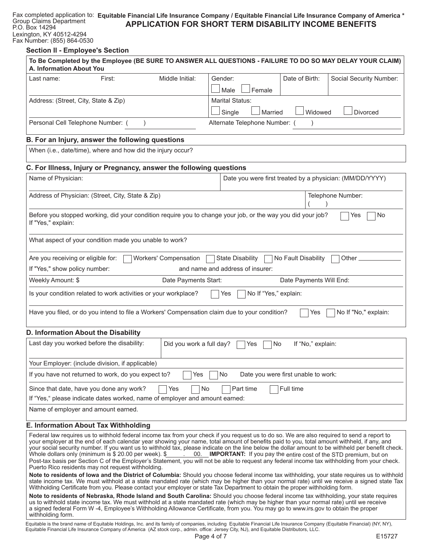#### **Section Il - Employee's Section**

P.O. Box 14294

Fax Number: (855) 864-0530

|                                                                                                                                   | To Be Completed by the Employee (BE SURE TO ANSWER ALL QUESTIONS - FAILURE TO DO SO MAY DELAY YOUR CLAIM)                                                                                                                                                                                                                                                                                                                                                                                                                                                                                                                                                                       |
|-----------------------------------------------------------------------------------------------------------------------------------|---------------------------------------------------------------------------------------------------------------------------------------------------------------------------------------------------------------------------------------------------------------------------------------------------------------------------------------------------------------------------------------------------------------------------------------------------------------------------------------------------------------------------------------------------------------------------------------------------------------------------------------------------------------------------------|
| A. Information About You                                                                                                          |                                                                                                                                                                                                                                                                                                                                                                                                                                                                                                                                                                                                                                                                                 |
| Middle Initial:<br>Last name:<br>First:                                                                                           | Date of Birth:<br>Gender:<br>Social Security Number:                                                                                                                                                                                                                                                                                                                                                                                                                                                                                                                                                                                                                            |
|                                                                                                                                   | Female<br>Male                                                                                                                                                                                                                                                                                                                                                                                                                                                                                                                                                                                                                                                                  |
| Address: (Street, City, State & Zip)                                                                                              | Marital Status:                                                                                                                                                                                                                                                                                                                                                                                                                                                                                                                                                                                                                                                                 |
|                                                                                                                                   | Single<br>Widowed<br>Married<br><b>Divorced</b>                                                                                                                                                                                                                                                                                                                                                                                                                                                                                                                                                                                                                                 |
| Personal Cell Telephone Number: (<br>$\lambda$                                                                                    | Alternate Telephone Number: (                                                                                                                                                                                                                                                                                                                                                                                                                                                                                                                                                                                                                                                   |
| B. For an Injury, answer the following questions                                                                                  |                                                                                                                                                                                                                                                                                                                                                                                                                                                                                                                                                                                                                                                                                 |
| When (i.e., date/time), where and how did the injury occur?                                                                       |                                                                                                                                                                                                                                                                                                                                                                                                                                                                                                                                                                                                                                                                                 |
| C. For Illness, Injury or Pregnancy, answer the following questions                                                               |                                                                                                                                                                                                                                                                                                                                                                                                                                                                                                                                                                                                                                                                                 |
| Name of Physician:                                                                                                                | Date you were first treated by a physician: (MM/DD/YYYY)                                                                                                                                                                                                                                                                                                                                                                                                                                                                                                                                                                                                                        |
|                                                                                                                                   |                                                                                                                                                                                                                                                                                                                                                                                                                                                                                                                                                                                                                                                                                 |
| Address of Physician: (Street, City, State & Zip)                                                                                 | Telephone Number:                                                                                                                                                                                                                                                                                                                                                                                                                                                                                                                                                                                                                                                               |
|                                                                                                                                   |                                                                                                                                                                                                                                                                                                                                                                                                                                                                                                                                                                                                                                                                                 |
| Before you stopped working, did your condition require you to change your job, or the way you did your job?<br>If "Yes," explain: | No<br>Yes                                                                                                                                                                                                                                                                                                                                                                                                                                                                                                                                                                                                                                                                       |
| What aspect of your condition made you unable to work?                                                                            |                                                                                                                                                                                                                                                                                                                                                                                                                                                                                                                                                                                                                                                                                 |
| Are you receiving or eligible for:<br>Workers' Compensation                                                                       | <b>State Disability</b><br>No Fault Disability<br>Other $\_$                                                                                                                                                                                                                                                                                                                                                                                                                                                                                                                                                                                                                    |
| If "Yes," show policy number:                                                                                                     | and name and address of insurer:                                                                                                                                                                                                                                                                                                                                                                                                                                                                                                                                                                                                                                                |
| Weekly Amount: \$<br>Date Payments Start:                                                                                         | Date Payments Will End:                                                                                                                                                                                                                                                                                                                                                                                                                                                                                                                                                                                                                                                         |
| Is your condition related to work activities or your workplace?                                                                   | No If "Yes," explain:<br>Yes                                                                                                                                                                                                                                                                                                                                                                                                                                                                                                                                                                                                                                                    |
| Have you filed, or do you intend to file a Workers' Compensation claim due to your condition?                                     | No If "No," explain:<br>Yes                                                                                                                                                                                                                                                                                                                                                                                                                                                                                                                                                                                                                                                     |
| D. Information About the Disability                                                                                               |                                                                                                                                                                                                                                                                                                                                                                                                                                                                                                                                                                                                                                                                                 |
| Last day you worked before the disability:                                                                                        | Did you work a full day?<br>If "No," explain:<br>Yes<br>No.                                                                                                                                                                                                                                                                                                                                                                                                                                                                                                                                                                                                                     |
| Your Employer: (include division, if applicable)                                                                                  |                                                                                                                                                                                                                                                                                                                                                                                                                                                                                                                                                                                                                                                                                 |
| If you have not returned to work, do you expect to?                                                                               | Date you were first unable to work:<br>No.<br>Yes                                                                                                                                                                                                                                                                                                                                                                                                                                                                                                                                                                                                                               |
| Since that date, have you done any work?<br>Yes                                                                                   | Part time<br>No<br>Full time                                                                                                                                                                                                                                                                                                                                                                                                                                                                                                                                                                                                                                                    |
| If "Yes," please indicate dates worked, name of employer and amount earned:                                                       |                                                                                                                                                                                                                                                                                                                                                                                                                                                                                                                                                                                                                                                                                 |
| Name of employer and amount earned.                                                                                               |                                                                                                                                                                                                                                                                                                                                                                                                                                                                                                                                                                                                                                                                                 |
| <b>E. Information About Tax Withholding</b>                                                                                       |                                                                                                                                                                                                                                                                                                                                                                                                                                                                                                                                                                                                                                                                                 |
| Whole dollars only (minimum is \$ 20.00 per week). \$<br><b>Contract</b><br>Puerto Rico residents may not request withholding.    | Federal law requires us to withhold federal income tax from your check if you request us to do so. We are also required to send a report to<br>your employer at the end of each calendar year showing your name, total amount of benefits paid to you, total amount withheld, if any, and<br>your social security number. If you want us to withhold tax, please indicate on the line below the dollar amount to be withheld per benefit check.<br>00. <b>IMPORTANT:</b> If you pay the entire cost of the STD premium, but on<br>Post-tax basis per Section C of the Employer's Statement, you will not be able to request any federal income tax withholding from your check. |
| Withholding Certificate from you. Please contact your employer or state Tax Department to obtain the proper withholding form.     | Note to residents of lowa and the District of Columbia: Should you choose federal income tax withholding, your state requires us to withhold<br>state income tax. We must withhold at a state mandated rate (which may be higher than your normal rate) until we receive a signed state Tax                                                                                                                                                                                                                                                                                                                                                                                     |

**Note to residents of Nebraska, Rhode Island and South Carolina:** Should you choose federal income tax withholding, your state requires us to withhold state income tax. We must withhold at a state mandated rate (which may be higher than your normal rate) until we receive a signed federal Form W -4, Employee's Withholding Allowance Certificate, from you. You may go to www.irs.gov to obtain the proper withholding form.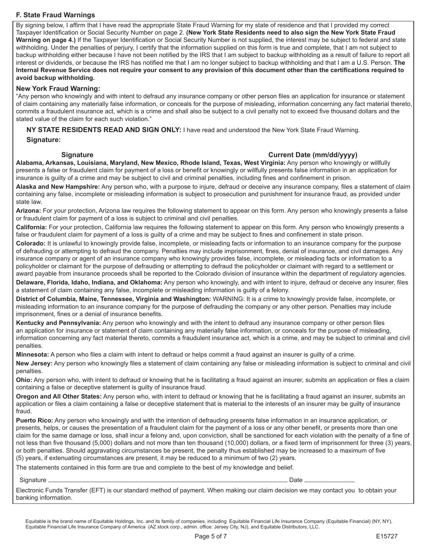#### **F. State Fraud Warnings**

By signing below, I affirm that I have read the appropriate State Fraud Warning for my state of residence and that I provided my correct Taxpayer Identification or Social Security Number on page 2. **(New York State Residents need to also sign the New York State Fraud Warning on page 4.)** If the Taxpayer Identification or Social Security Number is not supplied, the interest may be subject to federal and state withholding. Under the penalties of perjury, I certify that the information supplied on this form is true and complete, that I am not subject to backup withholding either because I have not been notified by the IRS that I am subject to backup withholding as a result of failure to report all interest or dividends, or because the IRS has notified me that I am no longer subject to backup withholding and that I am a U.S. Person. **The Internal Revenue Service does not require your consent to any provision of this document other than the certifications required to avoid backup withholding.**

#### **New York Fraud Warning:**

"Any person who knowingly and with intent to defraud any insurance company or other person files an application for insurance or statement of claim containing any materially false information, or conceals for the purpose of misleading, information concerning any fact material thereto, commits a fraudulent insurance act, which is a crime and shall also be subject to a civil penalty not to exceed five thousand dollars and the stated value of the claim for each such violation."

**NY STATE RESIDENTS READ AND SIGN ONLY:** I have read and understood the New York State Fraud Warning.

#### **Signature:**

#### **Signature Current Date (mm/dd/yyyy)**

**Alabama, Arkansas, Louisiana, Maryland, New Mexico, Rhode Island, Texas, West Virginia:** Any person who knowingly or willfully presents a false or fraudulent claim for payment of a loss or benefit or knowingly or willfully presents false information in an application for insurance is guilty of a crime and may be subject to civil and criminal penalties, including fines and confinement in prison.

**Alaska and New Hampshire:** Any person who, with a purpose to injure, defraud or deceive any insurance company, files a statement of claim containing any false, incomplete or misleading information is subject to prosecution and punishment for insurance fraud, as provided under state law.

**Arizona:** For your protection, Arizona law requires the following statement to appear on this form. Any person who knowingly presents a false or fraudulent claim for payment of a loss is subject to criminal and civil penalties.

**California:** For your protection, California law requires the following statement to appear on this form. Any person who knowingly presents a false or fraudulent claim for payment of a loss is guilty of a crime and may be subject to fines and confinement in state prison.

**Colorado:** It is unlawful to knowingly provide false, incomplete, or misleading facts or information to an insurance company for the purpose of defrauding or attempting to defraud the company. Penalties may include imprisonment, fines, denial of insurance, and civil damages. Any insurance company or agent of an insurance company who knowingly provides false, incomplete, or misleading facts or information to a policyholder or claimant for the purpose of defrauding or attempting to defraud the policyholder or claimant with regard to a settlement or award payable from insurance proceeds shall be reported to the Colorado division of insurance within the department of regulatory agencies.

**Delaware, Florida, Idaho, Indiana, and Oklahoma:** Any person who knowingly, and with intent to injure, defraud or deceive any insurer, files a statement of claim containing any false, incomplete or misleading information is guilty of a felony.

**District of Columbia, Maine, Tennessee, Virginia and Washington:** WARNING: It is a crime to knowingly provide false, incomplete, or misleading information to an insurance company for the purpose of defrauding the company or any other person. Penalties may include imprisonment, fines or a denial of insurance benefits.

**Kentucky and Pennsylvania:** Any person who knowingly and with the intent to defraud any insurance company or other person files an application for insurance or statement of claim containing any materially false information, or conceals for the purpose of misleading, information concerning any fact material thereto, commits a fraudulent insurance act, which is a crime, and may be subject to criminal and civil penalties.

**Minnesota:** A person who files a claim with intent to defraud or helps commit a fraud against an insurer is guilty of a crime.

**New Jersey:** Any person who knowingly files a statement of claim containing any false or misleading information is subject to criminal and civil penalties.

**Ohio:** Any person who, with intent to defraud or knowing that he is facilitating a fraud against an insurer, submits an application or files a claim containing a false or deceptive statement is guilty of insurance fraud.

**Oregon and All Other States:** Any person who, with intent to defraud or knowing that he is facilitating a fraud against an insurer, submits an application or files a claim containing a false or deceptive statement that is material to the interests of an insurer may be guilty of insurance fraud.

**Puerto Rico:** Any person who knowingly and with the intention of defrauding presents false information in an insurance application, or presents, helps, or causes the presentation of a fraudulent claim for the payment of a loss or any other benefit, or presents more than one claim for the same damage or loss, shall incur a felony and, upon conviction, shall be sanctioned for each violation with the penalty of a fine of not less than five thousand (5,000) dollars and not more than ten thousand (10,000) dollars, or a fixed term of imprisonment for three (3) years, or both penalties. Should aggravating circumstances be present, the penalty thus established may be increased to a maximum of five (5) years, if extenuating circumstances are present, it may be reduced to a minimum of two (2) years.

The statements contained in this form are true and complete to the best of my knowledge and belief.

#### Signature Date

Electronic Funds Transfer (EFT) is our standard method of payment. When making our claim decision we may contact you to obtain your banking information.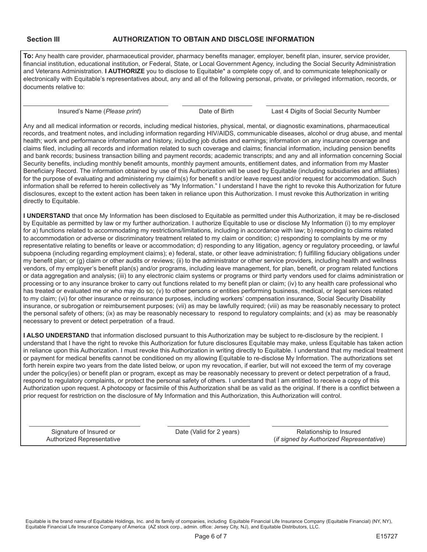**To:** Any health care provider, pharmaceutical provider, pharmacy benefits manager, employer, benefit plan, insurer, service provider, financial institution, educational institution, or Federal, State, or Local Government Agency, including the Social Security Administration and Veterans Administration. **I AUTHORIZE** you to disclose to Equitable\* a complete copy of, and to communicate telephonically or electronically with Equitable's representatives about, any and all of the following personal, private, or privileged information, records, or documents relative to:

Insured's Name (*Please print*) Date of Birth Last 4 Digits of Social Security Number

Any and all medical information or records, including medical histories, physical, mental, or diagnostic examinations, pharmaceutical records, and treatment notes, and including information regarding HIV/AIDS, communicable diseases, alcohol or drug abuse, and mental health; work and performance information and history, including job duties and earnings; information on any insurance coverage and claims filed, including all records and information related to such coverage and claims; financial information, including pension benefits and bank records; business transaction billing and payment records; academic transcripts; and any and all information concerning Social Security benefits, including monthly benefit amounts, monthly payment amounts, entitlement dates, and information from my Master Beneficiary Record. The information obtained by use of this Authorization will be used by Equitable (including subsidiaries and affiliates) for the purpose of evaluating and administering my claim(s) for benefit s and/or leave request and/or request for accommodation. Such information shall be referred to herein collectively as "My Information." I understand I have the right to revoke this Authorization for future disclosures, except to the extent action has been taken in reliance upon this Authorization. I must revoke this Authorization in writing directly to Equitable.

**I UNDERSTAND** that once My Information has been disclosed to Equitable as permitted under this Authorization, it may be re-disclosed by Equitable as permitted by law or my further authorization. I authorize Equitable to use or disclose My Information (i) to my employer for a) functions related to accommodating my restrictions/limitations, including in accordance with law; b) responding to claims related to accommodation or adverse or discriminatory treatment related to my claim or condition; c) responding to complaints by me or my representative relating to benefits or leave or accommodation; d) responding to any litigation, agency or regulatory proceeding, or lawful subpoena (including regarding employment claims); e) federal, state, or other leave administration; f) fulfilling fiduciary obligations under my benefit plan; or (g) claim or other audits or reviews; (ii) to the administrator or other service providers, including health and wellness vendors, of my employer's benefit plan(s) and/or programs, including leave management, for plan, benefit, or program related functions or data aggregation and analysis; (iii) to any electronic claim systems or programs or third party vendors used for claims administration or processing or to any insurance broker to carry out functions related to my benefit plan or claim; (iv) to any health care professional who has treated or evaluated me or who may do so; (v) to other persons or entities performing business, medical, or legal services related to my claim; (vi) for other insurance or reinsurance purposes, including workers' compensation insurance, Social Security Disability insurance, or subrogation or reimbursement purposes; (vii) as may be lawfully required; (viii) as may be reasonably necessary to protect the personal safety of others; (ix) as may be reasonably necessary to respond to regulatory complaints; and (x) as may be reasonably necessary to prevent or detect perpetration of a fraud.

**I ALSO UNDERSTAND** that information disclosed pursuant to this Authorization may be subject to re-disclosure by the recipient. I understand that I have the right to revoke this Authorization for future disclosures Equitable may make, unless Equitable has taken action in reliance upon this Authorization. I must revoke this Authorization in writing directly to Equitable. I understand that my medical treatment or payment for medical benefits cannot be conditioned on my allowing Equitable to re-disclose My Information. The authorizations set forth herein expire two years from the date listed below, or upon my revocation, if earlier, but will not exceed the term of my coverage under the policy(ies) or benefit plan or program, except as may be reasonably necessary to prevent or detect perpetration of a fraud, respond to regulatory complaints, or protect the personal safety of others. I understand that I am entitled to receive a copy of this Authorization upon request. A photocopy or facsimile of this Authorization shall be as valid as the original. If there is a conflict between a prior request for restriction on the disclosure of My Information and this Authorization, this Authorization will control.

Signature of Insured or **Date (Valid for 2 years)** Relationship to Insured Authorized Representative (*if signed by Authorized Representative*)